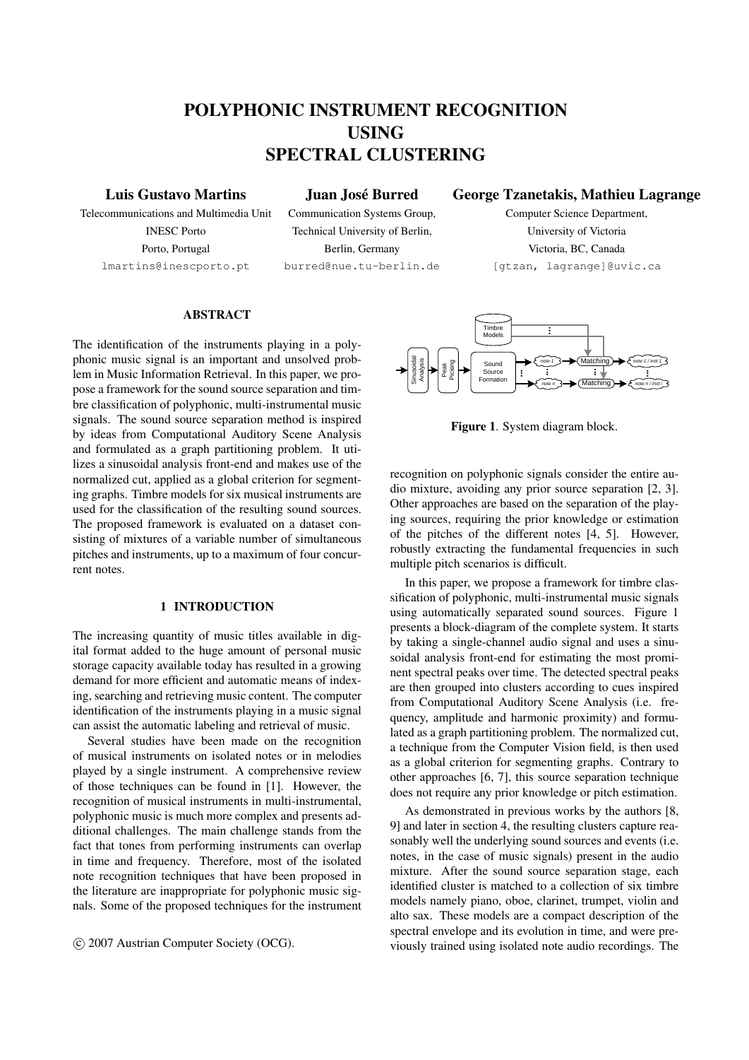# POLYPHONIC INSTRUMENT RECOGNITION USING SPECTRAL CLUSTERING

# Luis Gustavo Martins

Juan José Burred

Telecommunications and Multimedia Unit INESC Porto Porto, Portugal lmartins@inescporto.pt

Communication Systems Group, Technical University of Berlin, Berlin, Germany burred@nue.tu-berlin.de

# George Tzanetakis, Mathieu Lagrange Computer Science Department,

University of Victoria Victoria, BC, Canada [gtzan, lagrange]@uvic.ca

# ABSTRACT

The identification of the instruments playing in a polyphonic music signal is an important and unsolved problem in Music Information Retrieval. In this paper, we propose a framework for the sound source separation and timbre classification of polyphonic, multi-instrumental music signals. The sound source separation method is inspired by ideas from Computational Auditory Scene Analysis and formulated as a graph partitioning problem. It utilizes a sinusoidal analysis front-end and makes use of the normalized cut, applied as a global criterion for segmenting graphs. Timbre models for six musical instruments are used for the classification of the resulting sound sources. The proposed framework is evaluated on a dataset consisting of mixtures of a variable number of simultaneous pitches and instruments, up to a maximum of four concurrent notes.

#### 1 INTRODUCTION

The increasing quantity of music titles available in digital format added to the huge amount of personal music storage capacity available today has resulted in a growing demand for more efficient and automatic means of indexing, searching and retrieving music content. The computer identification of the instruments playing in a music signal can assist the automatic labeling and retrieval of music.

Several studies have been made on the recognition of musical instruments on isolated notes or in melodies played by a single instrument. A comprehensive review of those techniques can be found in [1]. However, the recognition of musical instruments in multi-instrumental, polyphonic music is much more complex and presents additional challenges. The main challenge stands from the fact that tones from performing instruments can overlap in time and frequency. Therefore, most of the isolated note recognition techniques that have been proposed in the literature are inappropriate for polyphonic music signals. Some of the proposed techniques for the instrument

c 2007 Austrian Computer Society (OCG).



Figure 1. System diagram block.

recognition on polyphonic signals consider the entire audio mixture, avoiding any prior source separation [2, 3]. Other approaches are based on the separation of the playing sources, requiring the prior knowledge or estimation of the pitches of the different notes [4, 5]. However, robustly extracting the fundamental frequencies in such multiple pitch scenarios is difficult.

In this paper, we propose a framework for timbre classification of polyphonic, multi-instrumental music signals using automatically separated sound sources. Figure 1 presents a block-diagram of the complete system. It starts by taking a single-channel audio signal and uses a sinusoidal analysis front-end for estimating the most prominent spectral peaks over time. The detected spectral peaks are then grouped into clusters according to cues inspired from Computational Auditory Scene Analysis (i.e. frequency, amplitude and harmonic proximity) and formulated as a graph partitioning problem. The normalized cut, a technique from the Computer Vision field, is then used as a global criterion for segmenting graphs. Contrary to other approaches [6, 7], this source separation technique does not require any prior knowledge or pitch estimation.

As demonstrated in previous works by the authors [8, 9] and later in section 4, the resulting clusters capture reasonably well the underlying sound sources and events (i.e. notes, in the case of music signals) present in the audio mixture. After the sound source separation stage, each identified cluster is matched to a collection of six timbre models namely piano, oboe, clarinet, trumpet, violin and alto sax. These models are a compact description of the spectral envelope and its evolution in time, and were previously trained using isolated note audio recordings. The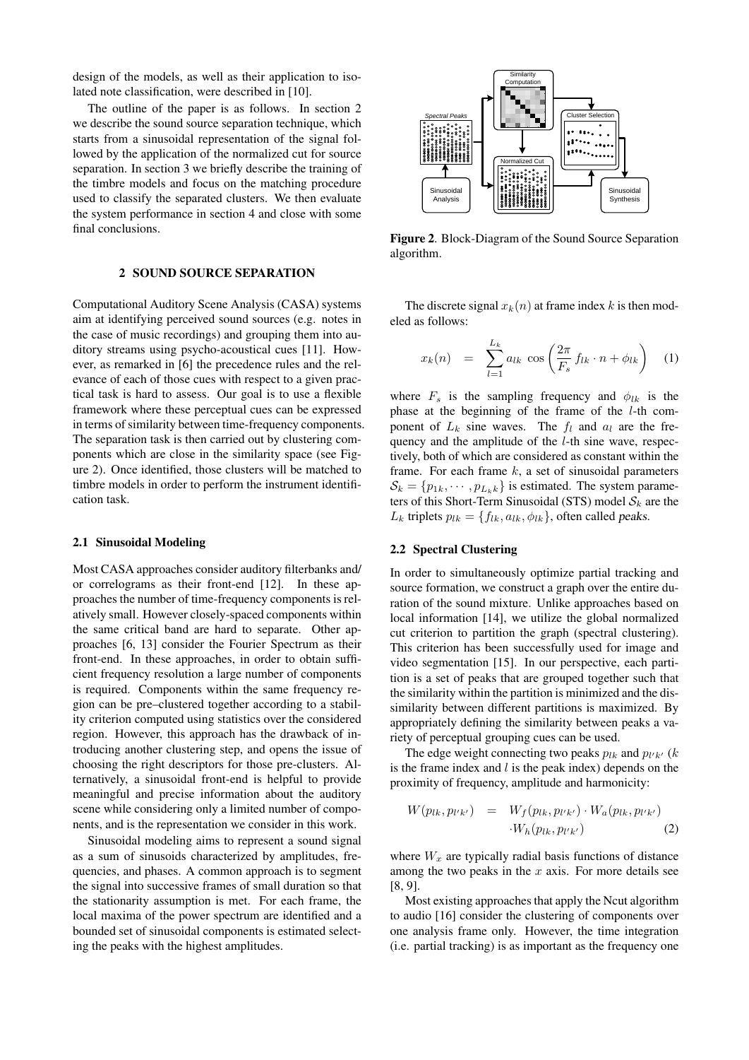design of the models, as well as their application to isolated note classification, were described in [10].

The outline of the paper is as follows. In section 2 we describe the sound source separation technique, which starts from a sinusoidal representation of the signal followed by the application of the normalized cut for source separation. In section 3 we briefly describe the training of the timbre models and focus on the matching procedure used to classify the separated clusters. We then evaluate the system performance in section 4 and close with some final conclusions.

#### 2 SOUND SOURCE SEPARATION

Computational Auditory Scene Analysis (CASA) systems aim at identifying perceived sound sources (e.g. notes in the case of music recordings) and grouping them into auditory streams using psycho-acoustical cues [11]. However, as remarked in [6] the precedence rules and the relevance of each of those cues with respect to a given practical task is hard to assess. Our goal is to use a flexible framework where these perceptual cues can be expressed in terms of similarity between time-frequency components. The separation task is then carried out by clustering components which are close in the similarity space (see Figure 2). Once identified, those clusters will be matched to timbre models in order to perform the instrument identification task.

#### 2.1 Sinusoidal Modeling

Most CASA approaches consider auditory filterbanks and/ or correlograms as their front-end [12]. In these approaches the number of time-frequency components is relatively small. However closely-spaced components within the same critical band are hard to separate. Other approaches [6, 13] consider the Fourier Spectrum as their front-end. In these approaches, in order to obtain sufficient frequency resolution a large number of components is required. Components within the same frequency region can be pre–clustered together according to a stability criterion computed using statistics over the considered region. However, this approach has the drawback of introducing another clustering step, and opens the issue of choosing the right descriptors for those pre-clusters. Alternatively, a sinusoidal front-end is helpful to provide meaningful and precise information about the auditory scene while considering only a limited number of components, and is the representation we consider in this work.

Sinusoidal modeling aims to represent a sound signal as a sum of sinusoids characterized by amplitudes, frequencies, and phases. A common approach is to segment the signal into successive frames of small duration so that the stationarity assumption is met. For each frame, the local maxima of the power spectrum are identified and a bounded set of sinusoidal components is estimated selecting the peaks with the highest amplitudes.



Figure 2. Block-Diagram of the Sound Source Separation algorithm.

The discrete signal  $x_k(n)$  at frame index k is then modeled as follows:

$$
x_k(n) = \sum_{l=1}^{L_k} a_{lk} \cos\left(\frac{2\pi}{F_s} f_{lk} \cdot n + \phi_{lk}\right) \quad (1)
$$

where  $F_s$  is the sampling frequency and  $\phi_{lk}$  is the phase at the beginning of the frame of the l-th component of  $L_k$  sine waves. The  $f_l$  and  $a_l$  are the frequency and the amplitude of the l-th sine wave, respectively, both of which are considered as constant within the frame. For each frame  $k$ , a set of sinusoidal parameters  $S_k = \{p_{1k}, \dots, p_{L_k,k}\}\$ is estimated. The system parameters of this Short-Term Sinusoidal (STS) model  $S_k$  are the  $L_k$  triplets  $p_{lk} = \{f_{lk}, a_{lk}, \phi_{lk}\}$ , often called *peaks*.

# 2.2 Spectral Clustering

In order to simultaneously optimize partial tracking and source formation, we construct a graph over the entire duration of the sound mixture. Unlike approaches based on local information [14], we utilize the global normalized cut criterion to partition the graph (spectral clustering). This criterion has been successfully used for image and video segmentation [15]. In our perspective, each partition is a set of peaks that are grouped together such that the similarity within the partition is minimized and the dissimilarity between different partitions is maximized. By appropriately defining the similarity between peaks a variety of perceptual grouping cues can be used.

The edge weight connecting two peaks  $p_{lk}$  and  $p_{l'k'}$  (k is the frame index and  $l$  is the peak index) depends on the proximity of frequency, amplitude and harmonicity:

$$
W(p_{lk}, p_{l'k'}) = W_f(p_{lk}, p_{l'k'}) \cdot W_a(p_{lk}, p_{l'k'})
$$
  

$$
\cdot W_h(p_{lk}, p_{l'k'})
$$
 (2)

where  $W_x$  are typically radial basis functions of distance among the two peaks in the  $x$  axis. For more details see [8, 9].

Most existing approaches that apply the Ncut algorithm to audio [16] consider the clustering of components over one analysis frame only. However, the time integration (i.e. partial tracking) is as important as the frequency one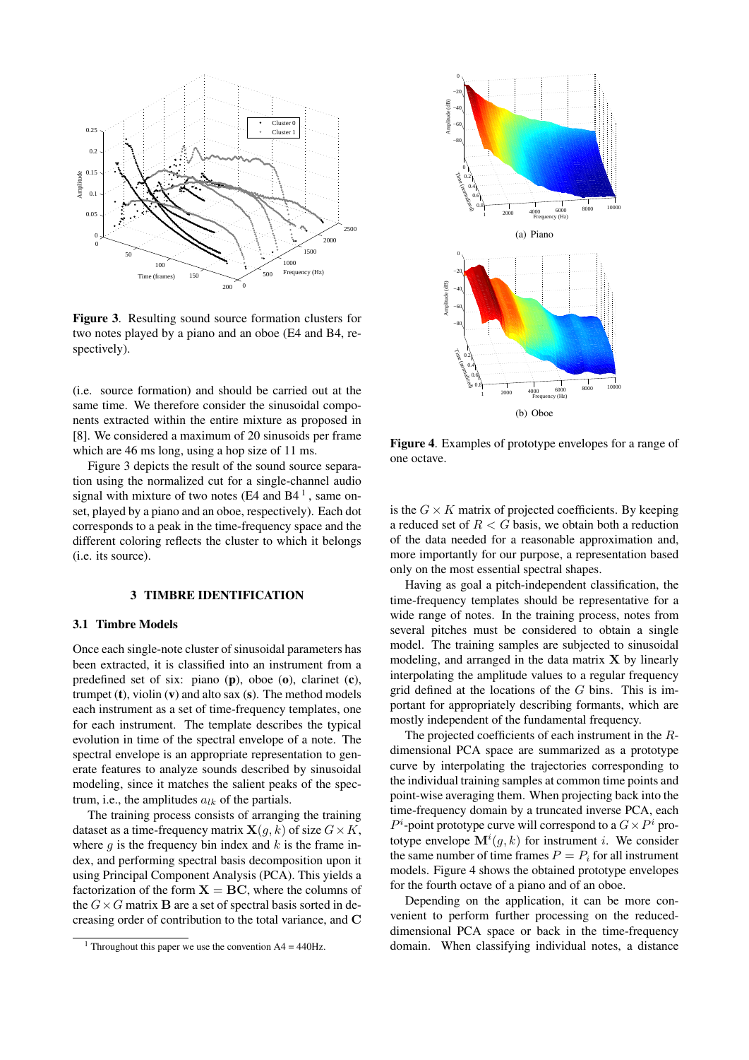

Figure 3. Resulting sound source formation clusters for two notes played by a piano and an oboe (E4 and B4, respectively).

(i.e. source formation) and should be carried out at the same time. We therefore consider the sinusoidal components extracted within the entire mixture as proposed in [8]. We considered a maximum of 20 sinusoids per frame which are 46 ms long, using a hop size of 11 ms.

Figure 3 depicts the result of the sound source separation using the normalized cut for a single-channel audio signal with mixture of two notes (E4 and  $B4<sup>1</sup>$ , same onset, played by a piano and an oboe, respectively). Each dot corresponds to a peak in the time-frequency space and the different coloring reflects the cluster to which it belongs (i.e. its source).

#### 3 TIMBRE IDENTIFICATION

#### 3.1 Timbre Models

Once each single-note cluster of sinusoidal parameters has been extracted, it is classified into an instrument from a predefined set of six: piano (p), oboe (o), clarinet (c), trumpet  $(t)$ , violin  $(v)$  and alto sax  $(s)$ . The method models each instrument as a set of time-frequency templates, one for each instrument. The template describes the typical evolution in time of the spectral envelope of a note. The spectral envelope is an appropriate representation to generate features to analyze sounds described by sinusoidal modeling, since it matches the salient peaks of the spectrum, i.e., the amplitudes  $a_{lk}$  of the partials.

The training process consists of arranging the training dataset as a time-frequency matrix  $\mathbf{X}(q, k)$  of size  $G \times K$ , where  $q$  is the frequency bin index and  $k$  is the frame index, and performing spectral basis decomposition upon it using Principal Component Analysis (PCA). This yields a factorization of the form  $X = BC$ , where the columns of the  $G \times G$  matrix **B** are a set of spectral basis sorted in decreasing order of contribution to the total variance, and C



Figure 4. Examples of prototype envelopes for a range of one octave.

is the  $G \times K$  matrix of projected coefficients. By keeping a reduced set of  $R < G$  basis, we obtain both a reduction of the data needed for a reasonable approximation and, more importantly for our purpose, a representation based only on the most essential spectral shapes.

Having as goal a pitch-independent classification, the time-frequency templates should be representative for a wide range of notes. In the training process, notes from several pitches must be considered to obtain a single model. The training samples are subjected to sinusoidal modeling, and arranged in the data matrix  $X$  by linearly interpolating the amplitude values to a regular frequency grid defined at the locations of the  $G$  bins. This is important for appropriately describing formants, which are mostly independent of the fundamental frequency.

The projected coefficients of each instrument in the Rdimensional PCA space are summarized as a prototype curve by interpolating the trajectories corresponding to the individual training samples at common time points and point-wise averaging them. When projecting back into the time-frequency domain by a truncated inverse PCA, each  $P^i$ -point prototype curve will correspond to a  $G \times P^i$  prototype envelope  $\mathbf{M}^{i}(g, k)$  for instrument i. We consider the same number of time frames  $P = P_i$  for all instrument models. Figure 4 shows the obtained prototype envelopes for the fourth octave of a piano and of an oboe.

Depending on the application, it can be more convenient to perform further processing on the reduceddimensional PCA space or back in the time-frequency domain. When classifying individual notes, a distance

<sup>&</sup>lt;sup>1</sup> Throughout this paper we use the convention  $A4 = 440$ Hz.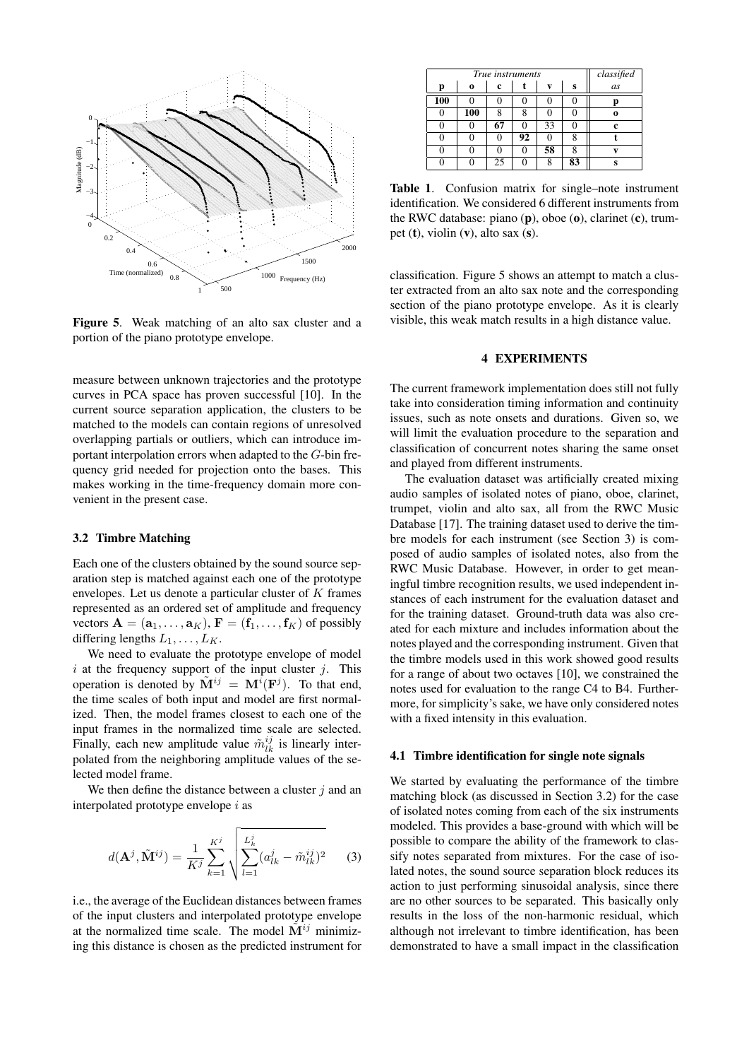

Figure 5. Weak matching of an alto sax cluster and a portion of the piano prototype envelope.

measure between unknown trajectories and the prototype curves in PCA space has proven successful [10]. In the current source separation application, the clusters to be matched to the models can contain regions of unresolved overlapping partials or outliers, which can introduce important interpolation errors when adapted to the G-bin frequency grid needed for projection onto the bases. This makes working in the time-frequency domain more convenient in the present case.

#### 3.2 Timbre Matching

Each one of the clusters obtained by the sound source separation step is matched against each one of the prototype envelopes. Let us denote a particular cluster of  $K$  frames represented as an ordered set of amplitude and frequency vectors  $\mathbf{A} = (\mathbf{a}_1, \dots, \mathbf{a}_K)$ ,  $\mathbf{F} = (\mathbf{f}_1, \dots, \mathbf{f}_K)$  of possibly differing lengths  $L_1, \ldots, L_K$ .

We need to evaluate the prototype envelope of model i at the frequency support of the input cluster  $j$ . This operation is denoted by  $\tilde{M}^{ij} = M^{i}(\mathbf{F}^{j})$ . To that end, the time scales of both input and model are first normalized. Then, the model frames closest to each one of the input frames in the normalized time scale are selected. Finally, each new amplitude value  $\tilde{m}_{lk}^{ij}$  is linearly interpolated from the neighboring amplitude values of the selected model frame.

We then define the distance between a cluster  $j$  and an interpolated prototype envelope  $i$  as

$$
d(\mathbf{A}^j, \tilde{\mathbf{M}}^{ij}) = \frac{1}{K^j} \sum_{k=1}^{K^j} \sqrt{\sum_{l=1}^{L_k^j} (a_{lk}^j - \tilde{m}_{lk}^{ij})^2}
$$
 (3)

i.e., the average of the Euclidean distances between frames of the input clusters and interpolated prototype envelope at the normalized time scale. The model  $\tilde{M}^{ij}$  minimizing this distance is chosen as the predicted instrument for

|     | classified |    |    |    |    |          |
|-----|------------|----|----|----|----|----------|
| p   | 0          | c  |    | v  | S  | as       |
| 100 |            |    |    |    |    | p        |
| 0   | 100        | 8  | 8  | 0  |    | $\bf{0}$ |
| 0   |            | 67 |    | 33 |    | c        |
| 0   |            | 0  | 92 | 0  |    |          |
| 0   |            | O  |    | 58 | 8  | v        |
| O   |            | 25 |    | 8  | 83 | S        |

Table 1. Confusion matrix for single–note instrument identification. We considered 6 different instruments from the RWC database: piano (p), oboe (o), clarinet (c), trumpet  $(t)$ , violin  $(v)$ , alto sax  $(s)$ .

classification. Figure 5 shows an attempt to match a cluster extracted from an alto sax note and the corresponding section of the piano prototype envelope. As it is clearly visible, this weak match results in a high distance value.

#### 4 EXPERIMENTS

The current framework implementation does still not fully take into consideration timing information and continuity issues, such as note onsets and durations. Given so, we will limit the evaluation procedure to the separation and classification of concurrent notes sharing the same onset and played from different instruments.

The evaluation dataset was artificially created mixing audio samples of isolated notes of piano, oboe, clarinet, trumpet, violin and alto sax, all from the RWC Music Database [17]. The training dataset used to derive the timbre models for each instrument (see Section 3) is composed of audio samples of isolated notes, also from the RWC Music Database. However, in order to get meaningful timbre recognition results, we used independent instances of each instrument for the evaluation dataset and for the training dataset. Ground-truth data was also created for each mixture and includes information about the notes played and the corresponding instrument. Given that the timbre models used in this work showed good results for a range of about two octaves [10], we constrained the notes used for evaluation to the range C4 to B4. Furthermore, for simplicity's sake, we have only considered notes with a fixed intensity in this evaluation.

#### 4.1 Timbre identification for single note signals

We started by evaluating the performance of the timbre matching block (as discussed in Section 3.2) for the case of isolated notes coming from each of the six instruments modeled. This provides a base-ground with which will be possible to compare the ability of the framework to classify notes separated from mixtures. For the case of isolated notes, the sound source separation block reduces its action to just performing sinusoidal analysis, since there are no other sources to be separated. This basically only results in the loss of the non-harmonic residual, which although not irrelevant to timbre identification, has been demonstrated to have a small impact in the classification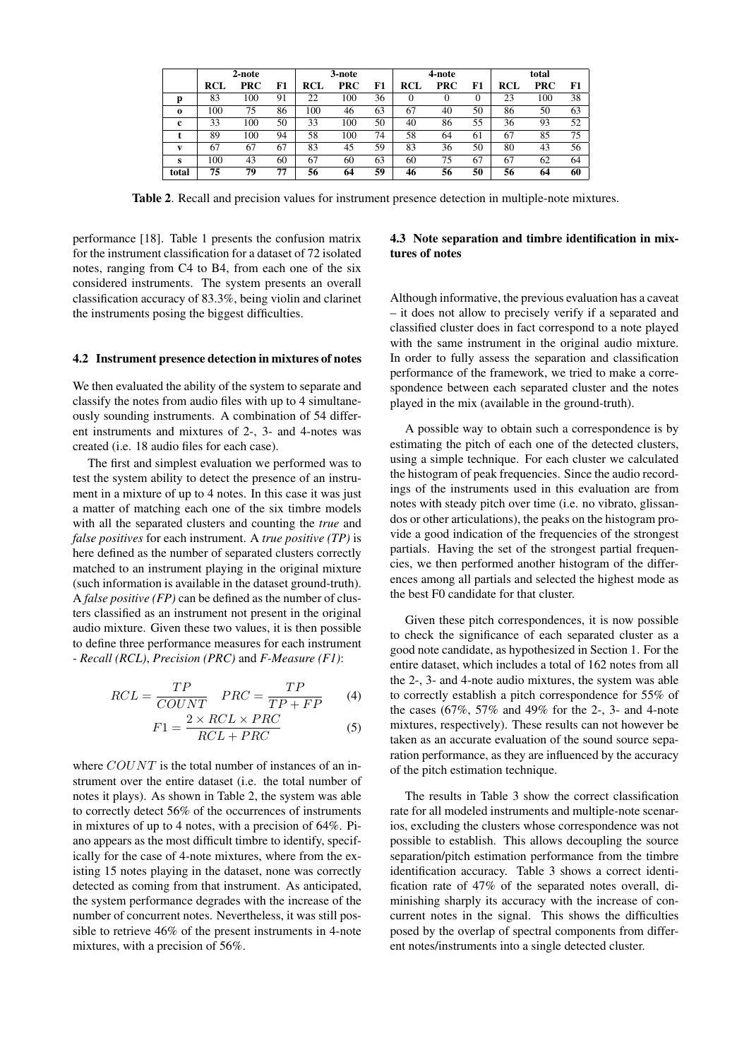|          | 2-note     |            |    | 3-note |            | 4-note |            |            | total |     |            |    |
|----------|------------|------------|----|--------|------------|--------|------------|------------|-------|-----|------------|----|
|          | <b>RCL</b> | <b>PRC</b> | F1 | RCL    | <b>PRC</b> | F1     | <b>RCL</b> | <b>PRC</b> | F1    | RCL | <b>PRC</b> | F1 |
| D        | 83         | 100        | 91 | 22     | 100        | 36     |            | 0          | 0     | 23  | 100        | 38 |
| $\Omega$ | 100        | 75         | 86 | 100    | 46         | 63     | 67         | 40         | 50    | 86  | 50         | 63 |
| c        | 33         | 100        | 50 | 33     | 100        | 50     | 40         | 86         | 55    | 36  | 93         | 52 |
|          | 89         | 100        | 94 | 58     | 100        | 74     | 58         | 64         | 61    | 67  | 85         | 75 |
| v        | 67         | 67         | 67 | 83     | 45         | 59     | 83         | 36         | 50    | 80  | 43         | 56 |
| s        | 100        | 43         | 60 | 67     | 60         | 63     | 60         | 75         | 67    | 67  | 62         | 64 |
| total    | 75         | 79         | 77 | 56     | 64         | 59     | 46         | 56         | 50    | 56  | 64         | 60 |

Table 2. Recall and precision values for instrument presence detection in multiple-note mixtures.

performance [18]. Table 1 presents the confusion matrix for the instrument classification for a dataset of 72 isolated notes, ranging from C4 to B4, from each one of the six considered instruments. The system presents an overall classification accuracy of 83.3%, being violin and clarinet the instruments posing the biggest difficulties.

#### 4.2 Instrument presence detection in mixtures of notes

We then evaluated the ability of the system to separate and classify the notes from audio files with up to 4 simultaneously sounding instruments. A combination of 54 different instruments and mixtures of 2-, 3- and 4-notes was created (i.e. 18 audio files for each case).

The first and simplest evaluation we performed was to test the system ability to detect the presence of an instrument in a mixture of up to 4 notes. In this case it was just a matter of matching each one of the six timbre models with all the separated clusters and counting the *true* and *false positives* for each instrument. A *true positive (TP)* is here defined as the number of separated clusters correctly matched to an instrument playing in the original mixture (such information is available in the dataset ground-truth). A *false positive (FP)* can be defined as the number of clusters classified as an instrument not present in the original audio mixture. Given these two values, it is then possible to define three performance measures for each instrument - *Recall (RCL)*, *Precision (PRC)* and *F-Measure (F1)*:

$$
RCL = \frac{TP}{COUNT} \quad PRC = \frac{TP}{TP + FP} \tag{4}
$$

$$
F1 = \frac{2 \times RCL \times PRC}{RCL + PRC}
$$
 (5)

where  $COUNT$  is the total number of instances of an instrument over the entire dataset (i.e. the total number of notes it plays). As shown in Table 2, the system was able to correctly detect 56% of the occurrences of instruments in mixtures of up to 4 notes, with a precision of 64%. Piano appears as the most difficult timbre to identify, specifically for the case of 4-note mixtures, where from the existing 15 notes playing in the dataset, none was correctly detected as coming from that instrument. As anticipated, the system performance degrades with the increase of the number of concurrent notes. Nevertheless, it was still possible to retrieve 46% of the present instruments in 4-note mixtures, with a precision of 56%.

### 4.3 Note separation and timbre identification in mixtures of notes

Although informative, the previous evaluation has a caveat – it does not allow to precisely verify if a separated and classified cluster does in fact correspond to a note played with the same instrument in the original audio mixture. In order to fully assess the separation and classification performance of the framework, we tried to make a correspondence between each separated cluster and the notes played in the mix (available in the ground-truth).

A possible way to obtain such a correspondence is by estimating the pitch of each one of the detected clusters, using a simple technique. For each cluster we calculated the histogram of peak frequencies. Since the audio recordings of the instruments used in this evaluation are from notes with steady pitch over time (i.e. no vibrato, glissandos or other articulations), the peaks on the histogram provide a good indication of the frequencies of the strongest partials. Having the set of the strongest partial frequencies, we then performed another histogram of the differences among all partials and selected the highest mode as the best F0 candidate for that cluster.

Given these pitch correspondences, it is now possible to check the significance of each separated cluster as a good note candidate, as hypothesized in Section 1. For the entire dataset, which includes a total of 162 notes from all the 2-, 3- and 4-note audio mixtures, the system was able to correctly establish a pitch correspondence for 55% of the cases (67%, 57% and 49% for the 2-, 3- and 4-note mixtures, respectively). These results can not however be taken as an accurate evaluation of the sound source separation performance, as they are influenced by the accuracy of the pitch estimation technique.

The results in Table 3 show the correct classification rate for all modeled instruments and multiple-note scenarios, excluding the clusters whose correspondence was not possible to establish. This allows decoupling the source separation/pitch estimation performance from the timbre identification accuracy. Table 3 shows a correct identification rate of 47% of the separated notes overall, diminishing sharply its accuracy with the increase of concurrent notes in the signal. This shows the difficulties posed by the overlap of spectral components from different notes/instruments into a single detected cluster.